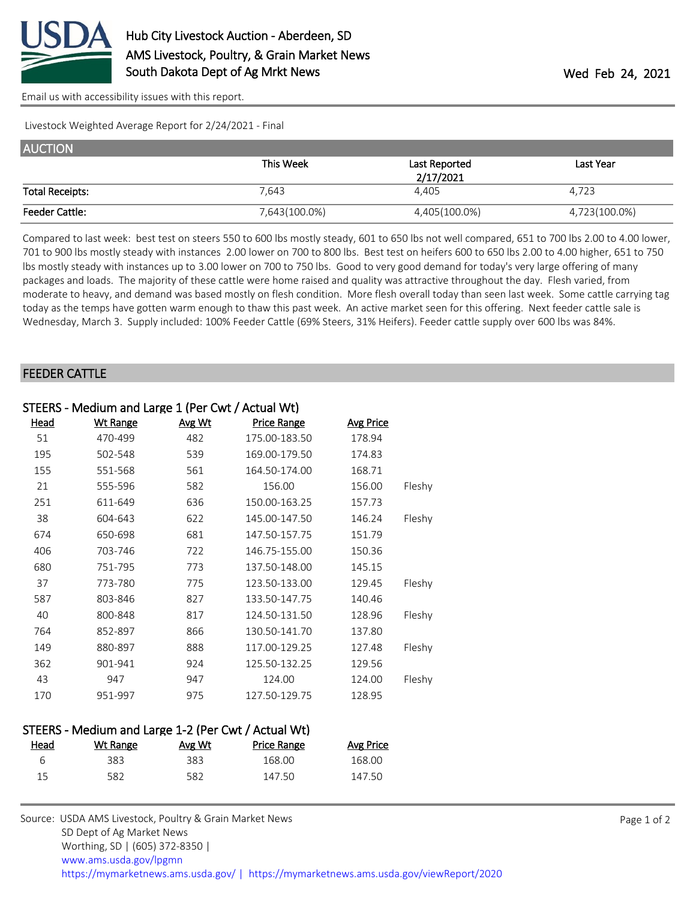

[Email us with accessibility issues with this report.](mailto:mars@ams.usda.gov?subject=508%20issue)

Livestock Weighted Average Report for 2/24/2021 - Final

| <b>AUCTION</b>         |               |               |               |
|------------------------|---------------|---------------|---------------|
|                        | This Week     | Last Reported | Last Year     |
|                        |               | 2/17/2021     |               |
| <b>Total Receipts:</b> | 7.643         | 4.405         | 4,723         |
| <b>Feeder Cattle:</b>  | 7,643(100.0%) | 4,405(100.0%) | 4,723(100.0%) |

Compared to last week: best test on steers 550 to 600 lbs mostly steady, 601 to 650 lbs not well compared, 651 to 700 lbs 2.00 to 4.00 lower, 701 to 900 lbs mostly steady with instances 2.00 lower on 700 to 800 lbs. Best test on heifers 600 to 650 lbs 2.00 to 4.00 higher, 651 to 750 lbs mostly steady with instances up to 3.00 lower on 700 to 750 lbs. Good to very good demand for today's very large offering of many packages and loads. The majority of these cattle were home raised and quality was attractive throughout the day. Flesh varied, from moderate to heavy, and demand was based mostly on flesh condition. More flesh overall today than seen last week. Some cattle carrying tag today as the temps have gotten warm enough to thaw this past week. An active market seen for this offering. Next feeder cattle sale is Wednesday, March 3. Supply included: 100% Feeder Cattle (69% Steers, 31% Heifers). Feeder cattle supply over 600 lbs was 84%.

## FEEDER CATTLE

| STEERS - Medium and Large 1 (Per Cwt / Actual Wt) |                 |        |                    |                  |        |
|---------------------------------------------------|-----------------|--------|--------------------|------------------|--------|
| <u>Head</u>                                       | <b>Wt Range</b> | Avg Wt | <b>Price Range</b> | <b>Avg Price</b> |        |
| 51                                                | 470-499         | 482    | 175.00-183.50      | 178.94           |        |
| 195                                               | 502-548         | 539    | 169.00-179.50      | 174.83           |        |
| 155                                               | 551-568         | 561    | 164.50-174.00      | 168.71           |        |
| 21                                                | 555-596         | 582    | 156.00             | 156.00           | Fleshy |
| 251                                               | 611-649         | 636    | 150.00-163.25      | 157.73           |        |
| 38                                                | 604-643         | 622    | 145.00-147.50      | 146.24           | Fleshy |
| 674                                               | 650-698         | 681    | 147.50-157.75      | 151.79           |        |
| 406                                               | 703-746         | 722    | 146.75-155.00      | 150.36           |        |
| 680                                               | 751-795         | 773    | 137.50-148.00      | 145.15           |        |
| 37                                                | 773-780         | 775    | 123.50-133.00      | 129.45           | Fleshy |
| 587                                               | 803-846         | 827    | 133.50-147.75      | 140.46           |        |
| 40                                                | 800-848         | 817    | 124.50-131.50      | 128.96           | Fleshy |
| 764                                               | 852-897         | 866    | 130.50-141.70      | 137.80           |        |
| 149                                               | 880-897         | 888    | 117.00-129.25      | 127.48           | Fleshy |
| 362                                               | 901-941         | 924    | 125.50-132.25      | 129.56           |        |
| 43                                                | 947             | 947    | 124.00             | 124.00           | Fleshy |
| 170                                               | 951-997         | 975    | 127.50-129.75      | 128.95           |        |

## STEERS - Medium and Large 1-2 (Per Cwt / Actual Wt)

|     | Avg Wt   | Price Range | Avg Price |
|-----|----------|-------------|-----------|
| 383 | 383      | 168.00      | 168.00    |
| 582 | 582      | 147.50      | 147.50    |
|     | Wt Range |             |           |